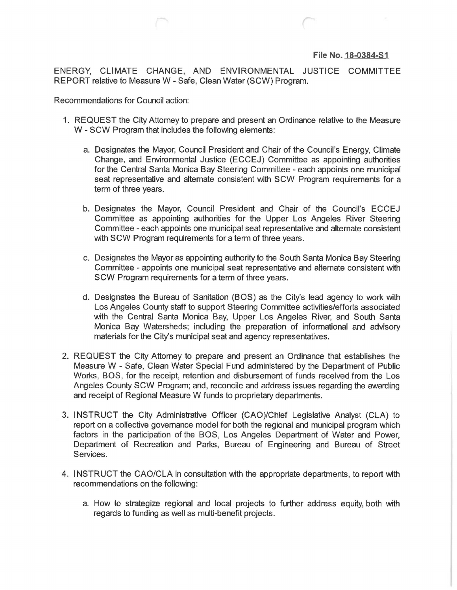## **File No. 18-0384-51**

ENERGY, CLIMATE CHANGE, AND ENVIRONMENTAL JUSTICE COMMITTEE REPORT relative to Measure W- Safe, Clean Water (SCW) Program.

Recommendations for Council action:

- 1. REQUEST the City Attorney to prepare and present an Ordinance relative to the Measure W - SCW Program that includes the following elements:
	- a. Designates the Mayor, Council President and Chair of the Council's Energy, Climate Change, and Environmental Justice (ECCEJ) Committee as appointing authorities for the Central Santa Monica Bay Steering Committee - each appoints one municipal seat representative and alternate consistent with SCW Program requirements for a term of three years.
	- b. Designates the Mayor, Council President and Chair of the Council's ECCEJ Committee as appointing authorities for the Upper Los Angeles River Steering Committee - each appoints one municipal seat representative and alternate consistent with SCW Program requirements for a term of three years.
	- c. Designates the Mayor as appointing authority to the South Santa Monica Bay Steering Committee - appoints one municipal seat representative and alternate consistent with SCW Program requirements for a term of three years.
	- d. Designates the Bureau of Sanitation (BOS) as the City's lead agency to work with Los Angeles County staff to support Steering Committee activities/efforts associated with the Central Santa Monica Bay, Upper Los Angeles River, and South Santa Monica Bay Watersheds; including the preparation of informational and advisory materials for the City's municipal seat and agency representatives.
- 2. REQUEST the City Attorney to prepare and present an Ordinance that establishes the Measure W -Safe, Clean Water Special Fund administered by the Department of Public Works, BOS, for the receipt, retention and disbursement of funds received from the Los Angeles County SCW Program; and, reconcile and address issues regarding the awarding and receipt of Regional Measure W funds to proprietary departments.
- 3. INSTRUCT the City Administrative Officer (CAO)/Chief Legislative Analyst (CLA) to report on a collective governance model for both the regional and municipal program which factors in the participation of the BOS, Los Angeles Department of Water and Power, Department of Recreation and Parks, Bureau of Engineering and Bureau of Street Services.
- 4. INSTRUCT the CAO/CLA in consultation with the appropriate departments, to report with recommendations on the following:
	- a. How to strategize regional and local projects to further address equity, both with regards to funding as well as multi-benefit projects.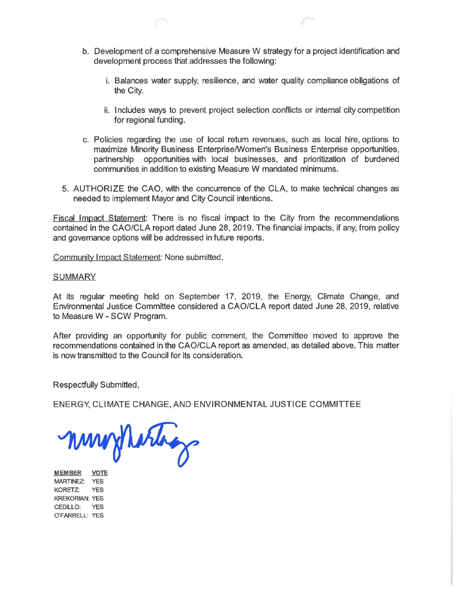- b. Development of a comprehensive Measure W strategy for a project identification and development process that addresses the following:
	- i. Balances water supply, resilience, and water quality compliance obligations of the City.
	- ii. Includes ways to prevent project selection conflicts or internal city competition for regional funding.
- c. Policies regarding the use of local return revenues, such as local hire, options to maximize Minority Business Enterprise/Women's Business Enterprise opportunities, partnership opportunities with local businesses, and prioritization of burdened communities in addition to existing Measure W mandated minimums.
- 5. AUTHORIZE the CAO, with the concurrence of the CLA, to make technical changes as needed to implement Mayor and City Council intentions.

Fiscal Impact Statement: There is no fiscal impact to the City from the recommendations contained in the CAO/CLA report dated June 28, 2019. The financial impacts, if any, from policy and governance options will be addressed in future reports.

Community Impact Statement: None submitted.

## **SUMMARY**

At its regular meeting held on September 17, 2019, the Energy, Climate Change, and Environmental Justice Committee considered a CAO/CLA report dated June 28, 2019, relative to Measure W- SCW Program.

After providing an opportunity for public comment, the Committee moved to approve the recommendations contained in the CAO/CLA report as amended, as detailed above. This matter is now transmitted to the Council for its consideration.

Respectfully Submitted,

ENERGY, CLIMATE CHANGE, AND ENVIRONMENTAL JUSTICE COMMITTEE

mongharings

MEMBER VOTE MARTINEZ: YES KORETZ: YES KREKORIAN: YES CEDILLO: YES O'FARRELL: YES